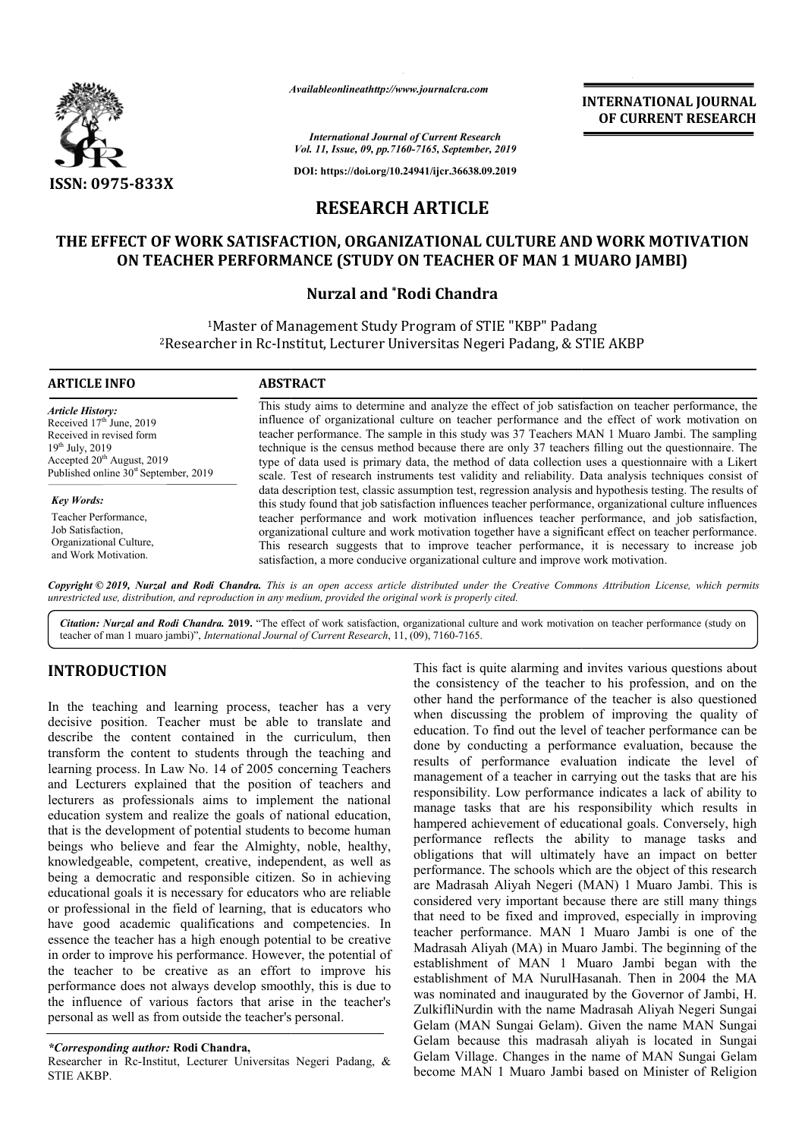

*Availableonlineathttp://www.journal Availableonlineathttp://www.journalcra.com*

**INTERNATIONAL JOURNAL OF CURRENT RESEARCH**

*International Journal of Current Research Vol. 11, Issue, 09, pp.7160-7165, September, 2019*

**DOI: https://doi.org/10.24941/ijcr.36638.09.2019**

## **RESEARCH ARTICLE**

## THE EFFECT OF WORK SATISFACTION, ORGANIZATIONAL CULTURE AND WORK MOTIVATION<br>ON TEACHER PERFORMANCE (STUDY ON TEACHER OF MAN 1 MUARO JAMBI) **ON TEACHER PERFORMANCE (STUDY ON TEACHER OF MAN 1 MUARO JAMBI)**

## **Nurzal and \*Rodi Chandra**

1Master of Management Study Program of STIE "KBP" Padang <sup>1</sup>Master of Management Study Program of STIE "KBP" Padang<br>Researcher in Rc-Institut, Lecturer Universitas Negeri Padang, & STIE AKBP<sup>2</sup>

# **ARTICLE INFO ABSTRACT**

*Article History:* Received  $17<sup>th</sup>$  June, 2019 Received in revised form  $19^{th}$  July, 2019 Accepted 20<sup>th</sup> August, 2019 Published online 30<sup>st</sup> September, 2019

*Key Words:* Teacher Performance, Job Satisfaction, Organizational Culture, and Work Motivation.

This study aims to determine and analyze the effect of job satisfaction on teacher performance, the influence of organizational culture on teacher performance and the effect of work motivation on teacher performance. The sample in this study was 37 Teachers MAN 1 Muaro Jambi. The sampling technique is the census method because there are only 37 teachers filling out the questionnaire. The type of data used is primary data, the method of data collection uses a questionnaire with a Likert scale. Test of research instruments test validity and reliability. Data analysis techniques consist of data description test, classic assumption test, regression analysis and hypothesis testing. The results of this study found that job satisfaction influences teacher performance, organiz teacher performance and work motivation influences teacher performance, and job satisfaction, organizational culture and work motivation together have a significant effect on teacher performance. This research suggests that to improve teacher performance, it is necessary to increase job satisfaction, a more conducive organizational culture and improve work motivation. This study aims to determine and analyze the effect of job satisfaction on teacher performance, the influence of organizational culture on teacher performance and the effect of work motivation on teacher performance. The s technique is the census method because there are only 37 teachers filling out the questionnaire. The type of data used is primary data, the method of data collection uses a questionnaire with a Likert scale. Test of resear teacher performance and work motivation influences teacher performance, and job organizational culture and work motivation together have a significant effect on teacher This research suggests that to improve teacher perfor

Copyright © 2019, Nurzal and Rodi Chandra. This is an open access article distributed under the Creative Commons Attribution License, which permits *unrestricted use, distribution, and reproduction in any medium, provided the original work is properly cited.*

Citation: Nurzal and Rodi Chandra. 2019. "The effect of work satisfaction, organizational culture and work motivation on teacher performance (study on teacher of man 1 muaro jambi)", *International Journal of Current Research*, 11, (09), 7160-7165.

## **INTRODUCTION**

In the teaching and learning process, teacher has a very decisive position. Teacher must be able to translate and describe the content contained in the curriculum, then transform the content to students through the teaching and learning process. In Law No. 14 of 2005 concerning Teachers and Lecturers explained that the position of teachers and lecturers as professionals aims to implement the national education system and realize the goals of national education, that is the development of potential students to become human beings who believe and fear the Almighty, noble, healthy, knowledgeable, competent, creative, independent, as well as being a democratic and responsible citizen. So in achieving educational goals it is necessary for educators who are reliable beings who believe and fear the Almighty, noble, healthy, knowledgeable, competent, creative, independent, as well as being a democratic and responsible citizen. So in achieving educational goals it is necessary for educat have good academic qualifications and competencies. In essence the teacher has a high enough potential to be creative in order to improve his performance. However, the potential of the teacher to be creative as an effort to improve his performance does not always develop smoothly, this is due to the influence of various factors that arise in the teacher's personal as well as from outside the teacher's personal.

Researcher in Rc-Institut, Lecturer Universitas Negeri Padang, & STIE AKBP.

This fact is quite alarming and invites various questions about the consistency of the teacher is is profession, and on the other mand the performance of the teacher is also questioned Teacher must be able to translate and the consistency of the teacher to his profession, and on the other hand the performance of the teacher is also questioned when discussing the problem of improving the quality of education. To find out the level of teacher performance can be done by conducting a performance evaluation, because the results of performance evaluation indicate the level of management of a teacher in carrying out the tasks that are his responsibility. Low performance indicates a lack of ability to manage tasks that are his responsibility which results in hampered achievement of educational goals. Conversely, high performance reflects the ability to manage tasks and obligations that will ultimately have an impact on better performance. The schools which are the object of this research are Madrasah Aliyah Negeri (MAN) 1 Muaro Jambi. This is considered very important because there are still many things that need to be fixed and improved, especially in improving teacher performance. MAN 1 Muaro Jambi is one of the Madrasah Aliyah (MA) in Muaro Jambi. The beginning of the establishment of MAN 1 Muaro Jambi began with the establishment of MA NurulHasanah. Then in 2004 was nominated and inaugurated by the Governor of Jambi, H. ZulkifliNurdin with the name Madrasah Aliyah Negeri Sungai Gelam (MAN Sungai Gelam). Given the name MAN Sungai Gelam because this madrasah aliyah is located in Sungai Gelam Village. Changes in the name of MAN Sungai Gelam become MAN 1 Muaro Jambi based on Minister of Religion fact is quite alarming and invites various questions about onsistency of the teacher to his profession, and on the hand the performance of the teacher is also questioned discussing the problem of improving the quality of a responsibility. Low performance indicates a lack of ability to manage tasks that are his responsibility which results in hampered achievement of educational goals. Conversely, high performance reflects the ability to manag is that will ultimately have an impact on better ce. The schools which are the object of this research sah Aliyah Negeri (MAN) 1 Muaro Jambi. This is l very important because there are still many things to be fixed and imp nominate.com **INTERNATIONAL JOURNAL**<br> **OF CURRENT RESEARCH**<br> **OF CURRENT RESEARCH**<br> **COURRENT RESEARCH**<br> **ARTICINAL CULTURE AND WORK MOTIVATION<br>
<b>ARTICINAL CULTURE AND WORK MOTIVATION**<br> **ARTICINAL CULTURE AND WORK MOTIVATI** 

*<sup>\*</sup>Corresponding author:* **Rodi Chandra,**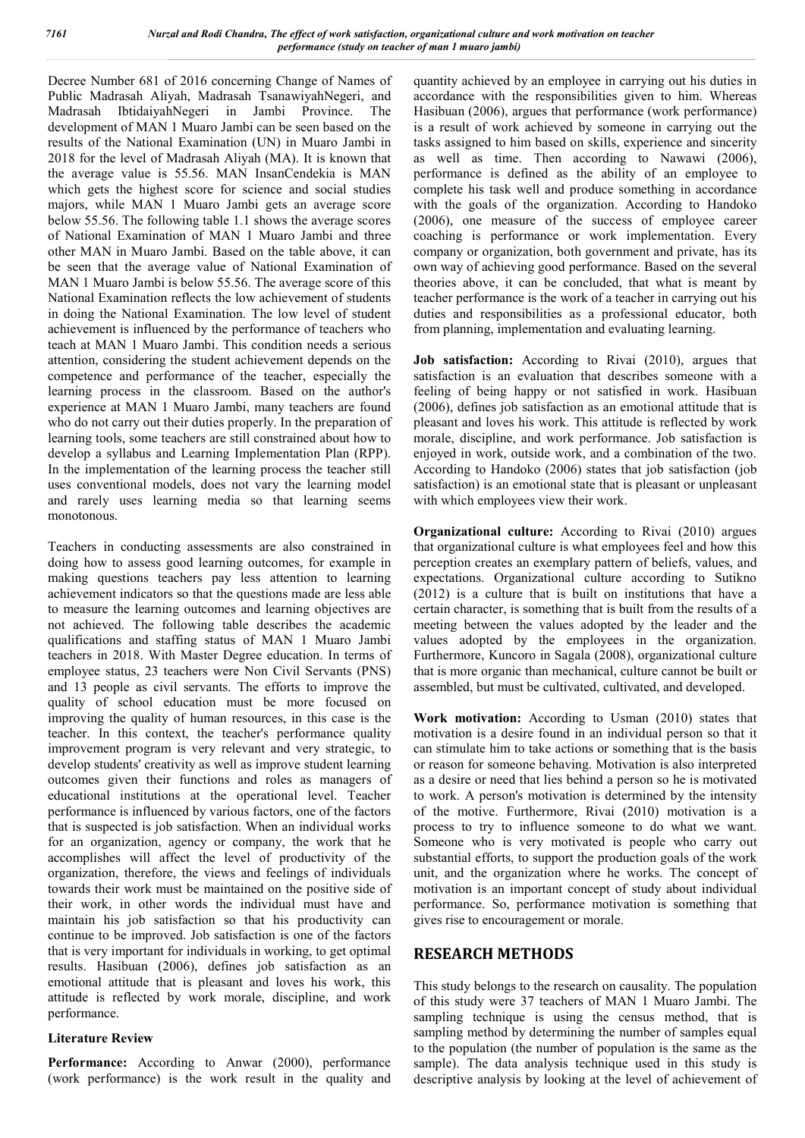Decree Number 681 of 2016 concerning Change of Names of Public Madrasah Aliyah, Madrasah TsanawiyahNegeri, and Madrasah IbtidaiyahNegeri in Jambi Province. The development of MAN 1 Muaro Jambi can be seen based on the results of the National Examination (UN) in Muaro Jambi in 2018 for the level of Madrasah Aliyah (MA). It is known that the average value is 55.56. MAN InsanCendekia is MAN which gets the highest score for science and social studies majors, while MAN 1 Muaro Jambi gets an average score below 55.56. The following table 1.1 shows the average scores of National Examination of MAN 1 Muaro Jambi and three other MAN in Muaro Jambi. Based on the table above, it can be seen that the average value of National Examination of MAN 1 Muaro Jambi is below 55.56. The average score of this National Examination reflects the low achievement of students in doing the National Examination. The low level of student achievement is influenced by the performance of teachers who teach at MAN 1 Muaro Jambi. This condition needs a serious attention, considering the student achievement depends on the competence and performance of the teacher, especially the learning process in the classroom. Based on the author's experience at MAN 1 Muaro Jambi, many teachers are found who do not carry out their duties properly. In the preparation of learning tools, some teachers are still constrained about how to develop a syllabus and Learning Implementation Plan (RPP). In the implementation of the learning process the teacher still uses conventional models, does not vary the learning model and rarely uses learning media so that learning seems monotonous.

Teachers in conducting assessments are also constrained in doing how to assess good learning outcomes, for example in making questions teachers pay less attention to learning achievement indicators so that the questions made are less able to measure the learning outcomes and learning objectives are not achieved. The following table describes the academic qualifications and staffing status of MAN 1 Muaro Jambi teachers in 2018. With Master Degree education. In terms of employee status, 23 teachers were Non Civil Servants (PNS) and 13 people as civil servants. The efforts to improve the quality of school education must be more focused on improving the quality of human resources, in this case is the teacher. In this context, the teacher's performance quality improvement program is very relevant and very strategic, to develop students' creativity as well as improve student learning outcomes given their functions and roles as managers of educational institutions at the operational level. Teacher performance is influenced by various factors, one of the factors that is suspected is job satisfaction. When an individual works for an organization, agency or company, the work that he accomplishes will affect the level of productivity of the organization, therefore, the views and feelings of individuals towards their work must be maintained on the positive side of their work, in other words the individual must have and maintain his job satisfaction so that his productivity can continue to be improved. Job satisfaction is one of the factors that is very important for individuals in working, to get optimal results. Hasibuan (2006), defines job satisfaction as an emotional attitude that is pleasant and loves his work, this attitude is reflected by work morale, discipline, and work performance.

#### **Literature Review**

Performance: According to Anwar (2000), performance (work performance) is the work result in the quality and quantity achieved by an employee in carrying out his duties in accordance with the responsibilities given to him. Whereas Hasibuan (2006), argues that performance (work performance) is a result of work achieved by someone in carrying out the tasks assigned to him based on skills, experience and sincerity as well as time. Then according to Nawawi (2006), performance is defined as the ability of an employee to complete his task well and produce something in accordance with the goals of the organization. According to Handoko (2006), one measure of the success of employee career coaching is performance or work implementation. Every company or organization, both government and private, has its own way of achieving good performance. Based on the several theories above, it can be concluded, that what is meant by teacher performance is the work of a teacher in carrying out his duties and responsibilities as a professional educator, both from planning, implementation and evaluating learning.

**Job satisfaction:** According to Rivai (2010), argues that satisfaction is an evaluation that describes someone with a feeling of being happy or not satisfied in work. Hasibuan (2006), defines job satisfaction as an emotional attitude that is pleasant and loves his work. This attitude is reflected by work morale, discipline, and work performance. Job satisfaction is enjoyed in work, outside work, and a combination of the two. According to Handoko (2006) states that job satisfaction (job satisfaction) is an emotional state that is pleasant or unpleasant with which employees view their work.

**Organizational culture:** According to Rivai (2010) argues that organizational culture is what employees feel and how this perception creates an exemplary pattern of beliefs, values, and expectations. Organizational culture according to Sutikno (2012) is a culture that is built on institutions that have a certain character, is something that is built from the results of a meeting between the values adopted by the leader and the values adopted by the employees in the organization. Furthermore, Kuncoro in Sagala (2008), organizational culture that is more organic than mechanical, culture cannot be built or assembled, but must be cultivated, cultivated, and developed.

**Work motivation:** According to Usman (2010) states that motivation is a desire found in an individual person so that it can stimulate him to take actions or something that is the basis or reason for someone behaving. Motivation is also interpreted as a desire or need that lies behind a person so he is motivated to work. A person's motivation is determined by the intensity of the motive. Furthermore, Rivai (2010) motivation is a process to try to influence someone to do what we want. Someone who is very motivated is people who carry out substantial efforts, to support the production goals of the work unit, and the organization where he works. The concept of motivation is an important concept of study about individual performance. So, performance motivation is something that gives rise to encouragement or morale.

## **RESEARCH METHODS**

This study belongs to the research on causality. The population of this study were 37 teachers of MAN 1 Muaro Jambi. The sampling technique is using the census method, that is sampling method by determining the number of samples equal to the population (the number of population is the same as the sample). The data analysis technique used in this study is descriptive analysis by looking at the level of achievement of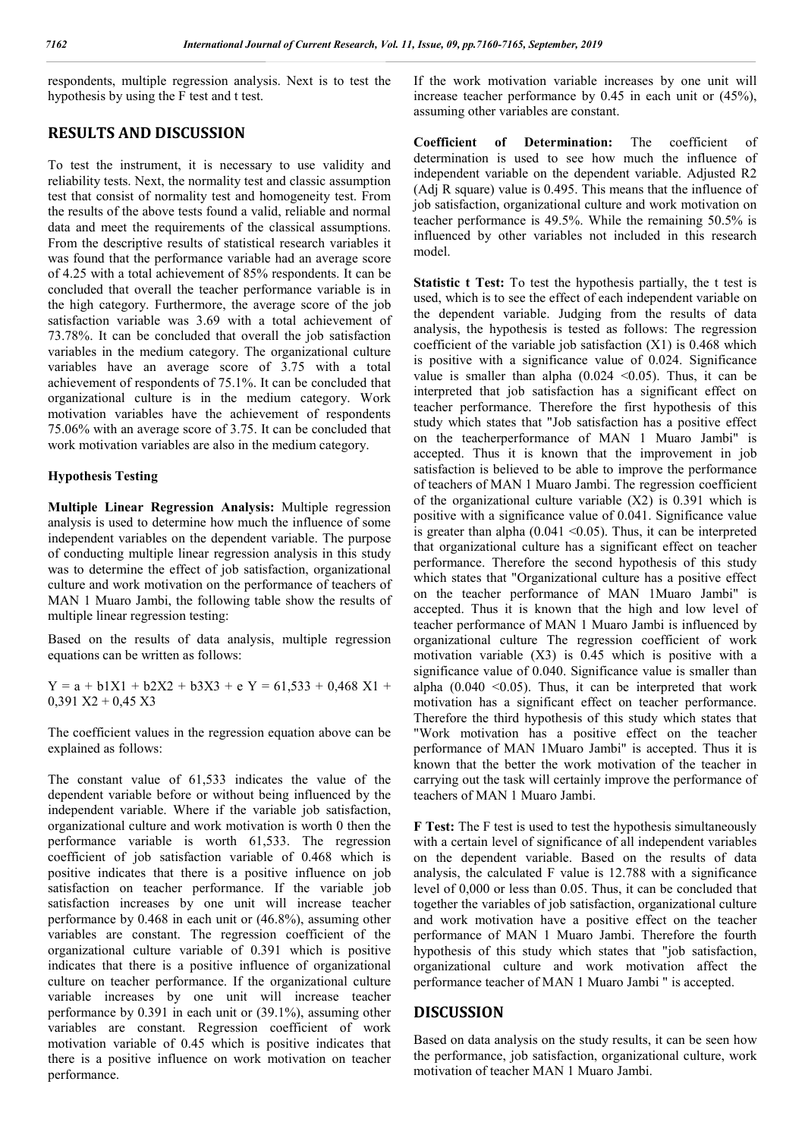respondents, multiple regression analysis. Next is to test the hypothesis by using the F test and t test.

## **RESULTS AND DISCUSSION**

To test the instrument, it is necessary to use validity and reliability tests. Next, the normality test and classic assumption test that consist of normality test and homogeneity test. From the results of the above tests found a valid, reliable and normal data and meet the requirements of the classical assumptions. From the descriptive results of statistical research variables it was found that the performance variable had an average score of 4.25 with a total achievement of 85% respondents. It can be concluded that overall the teacher performance variable is in the high category. Furthermore, the average score of the job satisfaction variable was 3.69 with a total achievement of 73.78%. It can be concluded that overall the job satisfaction variables in the medium category. The organizational culture variables have an average score of 3.75 with a total achievement of respondents of 75.1%. It can be concluded that organizational culture is in the medium category. Work motivation variables have the achievement of respondents 75.06% with an average score of 3.75. It can be concluded that work motivation variables are also in the medium category.

#### **Hypothesis Testing**

**Multiple Linear Regression Analysis:** Multiple regression analysis is used to determine how much the influence of some independent variables on the dependent variable. The purpose of conducting multiple linear regression analysis in this study was to determine the effect of job satisfaction, organizational culture and work motivation on the performance of teachers of MAN 1 Muaro Jambi, the following table show the results of multiple linear regression testing:

Based on the results of data analysis, multiple regression equations can be written as follows:

 $Y = a + b1X1 + b2X2 + b3X3 + eY = 61,533 + 0,468 X1 +$  $0.391$  X2 + 0.45 X3

The coefficient values in the regression equation above can be explained as follows:

The constant value of 61,533 indicates the value of the dependent variable before or without being influenced by the independent variable. Where if the variable job satisfaction, organizational culture and work motivation is worth 0 then the performance variable is worth 61,533. The regression coefficient of job satisfaction variable of 0.468 which is positive indicates that there is a positive influence on job satisfaction on teacher performance. If the variable job satisfaction increases by one unit will increase teacher performance by 0.468 in each unit or (46.8%), assuming other variables are constant. The regression coefficient of the organizational culture variable of 0.391 which is positive indicates that there is a positive influence of organizational culture on teacher performance. If the organizational culture variable increases by one unit will increase teacher performance by 0.391 in each unit or (39.1%), assuming other variables are constant. Regression coefficient of work motivation variable of 0.45 which is positive indicates that there is a positive influence on work motivation on teacher performance.

If the work motivation variable increases by one unit will increase teacher performance by 0.45 in each unit or (45%), assuming other variables are constant.

**Coefficient of Determination:** The coefficient of determination is used to see how much the influence of independent variable on the dependent variable. Adjusted R2 (Adj R square) value is 0.495. This means that the influence of job satisfaction, organizational culture and work motivation on teacher performance is 49.5%. While the remaining 50.5% is influenced by other variables not included in this research model.

**Statistic t Test:** To test the hypothesis partially, the t test is used, which is to see the effect of each independent variable on the dependent variable. Judging from the results of data analysis, the hypothesis is tested as follows: The regression coefficient of the variable job satisfaction (X1) is 0.468 which is positive with a significance value of 0.024. Significance value is smaller than alpha  $(0.024 \le 0.05)$ . Thus, it can be interpreted that job satisfaction has a significant effect on teacher performance. Therefore the first hypothesis of this study which states that "Job satisfaction has a positive effect on the teacherperformance of MAN 1 Muaro Jambi" is accepted. Thus it is known that the improvement in job satisfaction is believed to be able to improve the performance of teachers of MAN 1 Muaro Jambi. The regression coefficient of the organizational culture variable (X2) is 0.391 which is positive with a significance value of 0.041. Significance value is greater than alpha  $(0.041 \le 0.05)$ . Thus, it can be interpreted that organizational culture has a significant effect on teacher performance. Therefore the second hypothesis of this study which states that "Organizational culture has a positive effect on the teacher performance of MAN 1Muaro Jambi" is accepted. Thus it is known that the high and low level of teacher performance of MAN 1 Muaro Jambi is influenced by organizational culture The regression coefficient of work motivation variable (X3) is 0.45 which is positive with a significance value of 0.040. Significance value is smaller than alpha  $(0.040 \le 0.05)$ . Thus, it can be interpreted that work motivation has a significant effect on teacher performance. Therefore the third hypothesis of this study which states that "Work motivation has a positive effect on the teacher performance of MAN 1Muaro Jambi" is accepted. Thus it is known that the better the work motivation of the teacher in carrying out the task will certainly improve the performance of teachers of MAN 1 Muaro Jambi.

**F Test:** The F test is used to test the hypothesis simultaneously with a certain level of significance of all independent variables on the dependent variable. Based on the results of data analysis, the calculated F value is 12.788 with a significance level of 0,000 or less than 0.05. Thus, it can be concluded that together the variables of job satisfaction, organizational culture and work motivation have a positive effect on the teacher performance of MAN 1 Muaro Jambi. Therefore the fourth hypothesis of this study which states that "job satisfaction, organizational culture and work motivation affect the performance teacher of MAN 1 Muaro Jambi " is accepted.

### **DISCUSSION**

Based on data analysis on the study results, it can be seen how the performance, job satisfaction, organizational culture, work motivation of teacher MAN 1 Muaro Jambi.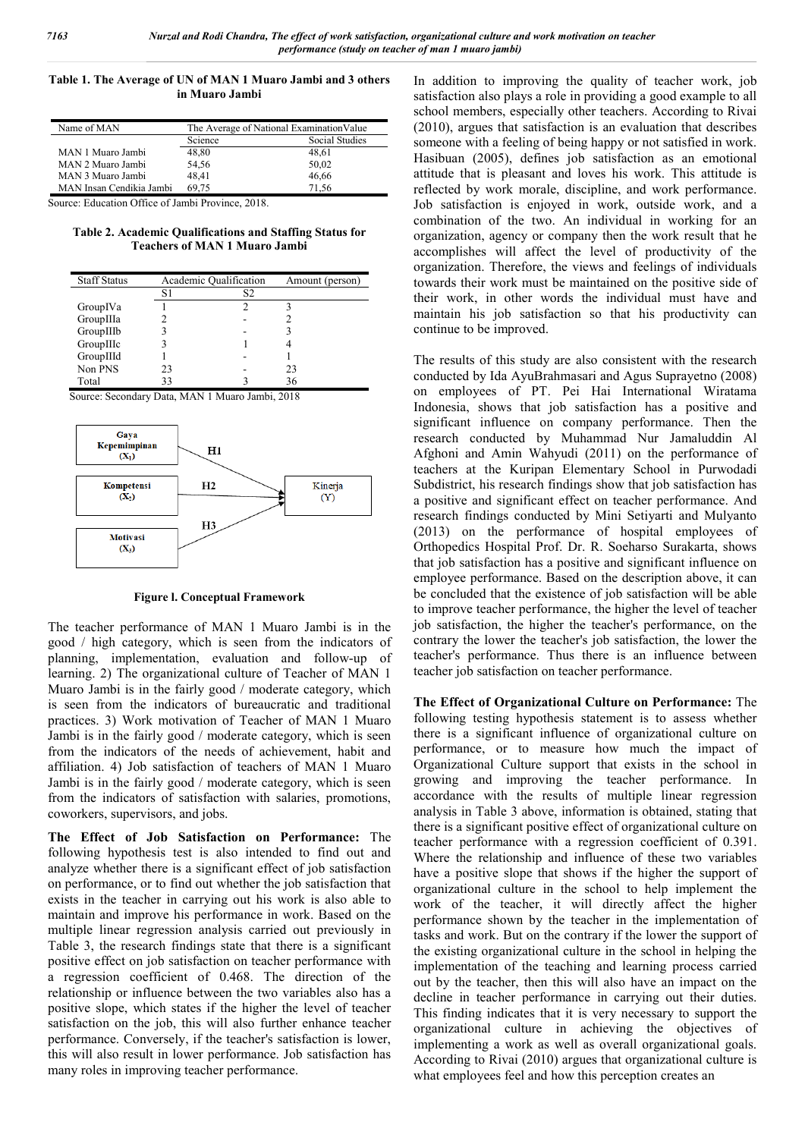**Table 1. The Average of UN of MAN 1 Muaro Jambi and 3 others in Muaro Jambi**

| Name of MAN              | The Average of National Examination Value |                |  |
|--------------------------|-------------------------------------------|----------------|--|
|                          | Science                                   | Social Studies |  |
| MAN 1 Muaro Jambi        | 48,80                                     | 48.61          |  |
| MAN 2 Muaro Jambi        | 54,56                                     | 50,02          |  |
| MAN 3 Muaro Jambi        | 48,41                                     | 46,66          |  |
| MAN Insan Cendikia Jambi | 69.75                                     | 71.56          |  |

Source: Education Office of Jambi Province, 2018.

**Table 2. Academic Qualifications and Staffing Status for Teachers of MAN 1 Muaro Jambi**

| <b>Staff Status</b> | Academic Qualification |    | Amount (person) |  |
|---------------------|------------------------|----|-----------------|--|
|                     | S1                     | S2 |                 |  |
| GroupIVa            |                        | 2  |                 |  |
| GroupIIIa           |                        |    |                 |  |
| GroupIIIb           |                        |    |                 |  |
| GroupIIIc           |                        |    |                 |  |
| GroupIIId           |                        |    |                 |  |
| Non PNS             | 23                     |    | 23              |  |
| Total               | 33                     |    | 36              |  |

Source: Secondary Data, MAN 1 Muaro Jambi, 2018



**Figure l. Conceptual Framework**

The teacher performance of MAN 1 Muaro Jambi is in the good / high category, which is seen from the indicators of planning, implementation, evaluation and follow-up of learning. 2) The organizational culture of Teacher of MAN 1 Muaro Jambi is in the fairly good / moderate category, which is seen from the indicators of bureaucratic and traditional practices. 3) Work motivation of Teacher of MAN 1 Muaro Jambi is in the fairly good / moderate category, which is seen from the indicators of the needs of achievement, habit and affiliation. 4) Job satisfaction of teachers of MAN 1 Muaro Jambi is in the fairly good / moderate category, which is seen from the indicators of satisfaction with salaries, promotions, coworkers, supervisors, and jobs.

**The Effect of Job Satisfaction on Performance:** The following hypothesis test is also intended to find out and analyze whether there is a significant effect of job satisfaction on performance, or to find out whether the job satisfaction that exists in the teacher in carrying out his work is also able to maintain and improve his performance in work. Based on the multiple linear regression analysis carried out previously in Table 3, the research findings state that there is a significant positive effect on job satisfaction on teacher performance with a regression coefficient of 0.468. The direction of the relationship or influence between the two variables also has a positive slope, which states if the higher the level of teacher satisfaction on the job, this will also further enhance teacher performance. Conversely, if the teacher's satisfaction is lower, this will also result in lower performance. Job satisfaction has many roles in improving teacher performance.

In addition to improving the quality of teacher work, job satisfaction also plays a role in providing a good example to all school members, especially other teachers. According to Rivai (2010), argues that satisfaction is an evaluation that describes someone with a feeling of being happy or not satisfied in work. Hasibuan (2005), defines job satisfaction as an emotional attitude that is pleasant and loves his work. This attitude is reflected by work morale, discipline, and work performance. Job satisfaction is enjoyed in work, outside work, and a combination of the two. An individual in working for an organization, agency or company then the work result that he accomplishes will affect the level of productivity of the organization. Therefore, the views and feelings of individuals towards their work must be maintained on the positive side of their work, in other words the individual must have and maintain his job satisfaction so that his productivity can continue to be improved.

The results of this study are also consistent with the research conducted by Ida AyuBrahmasari and Agus Suprayetno (2008) on employees of PT. Pei Hai International Wiratama Indonesia, shows that job satisfaction has a positive and significant influence on company performance. Then the research conducted by Muhammad Nur Jamaluddin Al Afghoni and Amin Wahyudi (2011) on the performance of teachers at the Kuripan Elementary School in Purwodadi Subdistrict, his research findings show that job satisfaction has a positive and significant effect on teacher performance. And research findings conducted by Mini Setiyarti and Mulyanto (2013) on the performance of hospital employees of Orthopedics Hospital Prof. Dr. R. Soeharso Surakarta, shows that job satisfaction has a positive and significant influence on employee performance. Based on the description above, it can be concluded that the existence of job satisfaction will be able to improve teacher performance, the higher the level of teacher job satisfaction, the higher the teacher's performance, on the contrary the lower the teacher's job satisfaction, the lower the teacher's performance. Thus there is an influence between teacher job satisfaction on teacher performance.

**The Effect of Organizational Culture on Performance:** The following testing hypothesis statement is to assess whether there is a significant influence of organizational culture on performance, or to measure how much the impact of Organizational Culture support that exists in the school in growing and improving the teacher performance. In accordance with the results of multiple linear regression analysis in Table 3 above, information is obtained, stating that there is a significant positive effect of organizational culture on teacher performance with a regression coefficient of 0.391. Where the relationship and influence of these two variables have a positive slope that shows if the higher the support of organizational culture in the school to help implement the work of the teacher, it will directly affect the higher performance shown by the teacher in the implementation of tasks and work. But on the contrary if the lower the support of the existing organizational culture in the school in helping the implementation of the teaching and learning process carried out by the teacher, then this will also have an impact on the decline in teacher performance in carrying out their duties. This finding indicates that it is very necessary to support the organizational culture in achieving the objectives of implementing a work as well as overall organizational goals. According to Rivai (2010) argues that organizational culture is what employees feel and how this perception creates an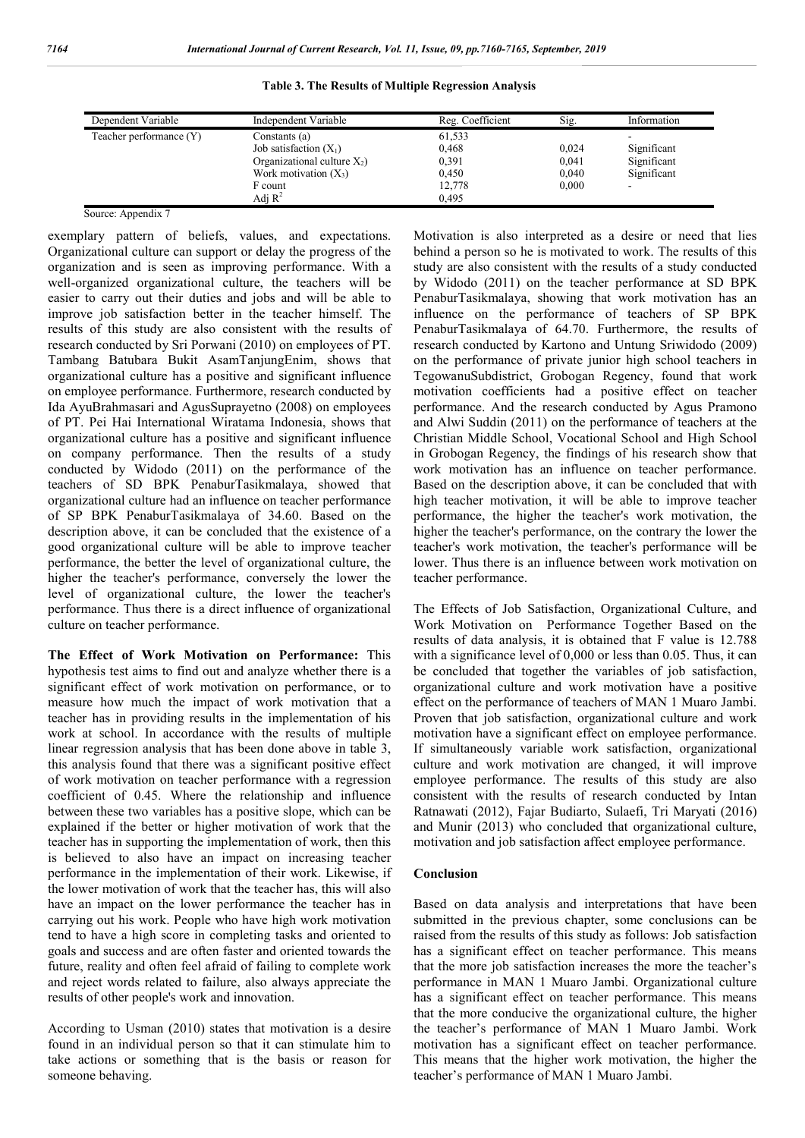| Dependent Variable      | Independent Variable           | Reg. Coefficient | Sig.  | Information              |
|-------------------------|--------------------------------|------------------|-------|--------------------------|
| Teacher performance (Y) | Constants (a)                  | 61,533           |       |                          |
|                         | Job satisfaction $(X_1)$       | 0,468            | 0,024 | Significant              |
|                         | Organizational culture $X_2$ ) | 0.391            | 0.041 | Significant              |
|                         | Work motivation $(X_3)$        | 0,450            | 0,040 | Significant              |
|                         | F count                        | 12,778           | 0.000 | $\overline{\phantom{a}}$ |
|                         | Adi $\mathbb{R}^2$             | 0.495            |       |                          |

**Table 3. The Results of Multiple Regression Analysis**

#### Source: Appendix 7

exemplary pattern of beliefs, values, and expectations. Organizational culture can support or delay the progress of the organization and is seen as improving performance. With a well-organized organizational culture, the teachers will be easier to carry out their duties and jobs and will be able to improve job satisfaction better in the teacher himself. The results of this study are also consistent with the results of research conducted by Sri Porwani (2010) on employees of PT. Tambang Batubara Bukit AsamTanjungEnim, shows that organizational culture has a positive and significant influence on employee performance. Furthermore, research conducted by Ida AyuBrahmasari and AgusSuprayetno (2008) on employees of PT. Pei Hai International Wiratama Indonesia, shows that organizational culture has a positive and significant influence on company performance. Then the results of a study conducted by Widodo (2011) on the performance of the teachers of SD BPK PenaburTasikmalaya, showed that organizational culture had an influence on teacher performance of SP BPK PenaburTasikmalaya of 34.60. Based on the description above, it can be concluded that the existence of a good organizational culture will be able to improve teacher performance, the better the level of organizational culture, the higher the teacher's performance, conversely the lower the level of organizational culture, the lower the teacher's performance. Thus there is a direct influence of organizational culture on teacher performance.

**The Effect of Work Motivation on Performance:** This hypothesis test aims to find out and analyze whether there is a significant effect of work motivation on performance, or to measure how much the impact of work motivation that a teacher has in providing results in the implementation of his work at school. In accordance with the results of multiple linear regression analysis that has been done above in table 3, this analysis found that there was a significant positive effect of work motivation on teacher performance with a regression coefficient of 0.45. Where the relationship and influence between these two variables has a positive slope, which can be explained if the better or higher motivation of work that the teacher has in supporting the implementation of work, then this is believed to also have an impact on increasing teacher performance in the implementation of their work. Likewise, if the lower motivation of work that the teacher has, this will also have an impact on the lower performance the teacher has in carrying out his work. People who have high work motivation tend to have a high score in completing tasks and oriented to goals and success and are often faster and oriented towards the future, reality and often feel afraid of failing to complete work and reject words related to failure, also always appreciate the results of other people's work and innovation.

According to Usman (2010) states that motivation is a desire found in an individual person so that it can stimulate him to take actions or something that is the basis or reason for someone behaving.

Motivation is also interpreted as a desire or need that lies behind a person so he is motivated to work. The results of this study are also consistent with the results of a study conducted by Widodo (2011) on the teacher performance at SD BPK PenaburTasikmalaya, showing that work motivation has an influence on the performance of teachers of SP BPK PenaburTasikmalaya of 64.70. Furthermore, the results of research conducted by Kartono and Untung Sriwidodo (2009) on the performance of private junior high school teachers in TegowanuSubdistrict, Grobogan Regency, found that work motivation coefficients had a positive effect on teacher performance. And the research conducted by Agus Pramono and Alwi Suddin (2011) on the performance of teachers at the Christian Middle School, Vocational School and High School in Grobogan Regency, the findings of his research show that work motivation has an influence on teacher performance. Based on the description above, it can be concluded that with high teacher motivation, it will be able to improve teacher performance, the higher the teacher's work motivation, the higher the teacher's performance, on the contrary the lower the teacher's work motivation, the teacher's performance will be lower. Thus there is an influence between work motivation on teacher performance.

The Effects of Job Satisfaction, Organizational Culture, and Work Motivation on Performance Together Based on the results of data analysis, it is obtained that F value is 12.788 with a significance level of 0,000 or less than 0.05. Thus, it can be concluded that together the variables of job satisfaction, organizational culture and work motivation have a positive effect on the performance of teachers of MAN 1 Muaro Jambi. Proven that job satisfaction, organizational culture and work motivation have a significant effect on employee performance. If simultaneously variable work satisfaction, organizational culture and work motivation are changed, it will improve employee performance. The results of this study are also consistent with the results of research conducted by Intan Ratnawati (2012), Fajar Budiarto, Sulaefi, Tri Maryati (2016) and Munir (2013) who concluded that organizational culture, motivation and job satisfaction affect employee performance.

#### **Conclusion**

Based on data analysis and interpretations that have been submitted in the previous chapter, some conclusions can be raised from the results of this study as follows: Job satisfaction has a significant effect on teacher performance. This means that the more job satisfaction increases the more the teacher's performance in MAN 1 Muaro Jambi. Organizational culture has a significant effect on teacher performance. This means that the more conducive the organizational culture, the higher the teacher's performance of MAN 1 Muaro Jambi. Work motivation has a significant effect on teacher performance. This means that the higher work motivation, the higher the teacher's performance of MAN 1 Muaro Jambi.